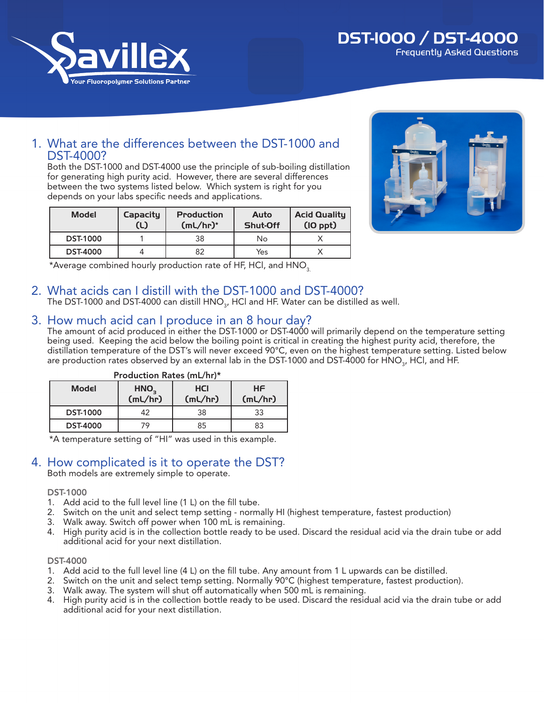

## DST-1000 / DST-4000 Frequently Asked Questions

# 1. What are the differences between the DST-1000 and DST-4000?

Both the DST-1000 and DST-4000 use the principle of sub-boiling distillation for generating high purity acid. However, there are several differences between the two systems listed below. Which system is right for you depends on your labs specific needs and applications.

| Model           | <b>Capacity</b><br>(L) | <b>Production</b><br>$(mL/hr)^*$ | Auto<br>Shut-Off | <b>Acid Quality</b><br>$(IO$ ppt $)$ |
|-----------------|------------------------|----------------------------------|------------------|--------------------------------------|
| <b>DST-1000</b> |                        | 38                               | No               |                                      |
| <b>DST-4000</b> |                        | 82                               | Yes              |                                      |



\*Average combined hourly production rate of HF, HCl, and HNO<sub>3</sub>.

## 2. What acids can I distill with the DST-1000 and DST-4000?

The DST-1000 and DST-4000 can distill  $\mathsf{HNO}_{_3}$ , HCl and HF. Water can be distilled as well.

## 3. How much acid can I produce in an 8 hour day?

The amount of acid produced in either the DST-1000 or DST-4000 will primarily depend on the temperature setting being used. Keeping the acid below the boiling point is critical in creating the highest purity acid, therefore, the distillation temperature of the DST's will never exceed 90°C, even on the highest temperature setting. Listed below are production rates observed by an external lab in the DST-1000 and DST-4000 for HNO $_{\textrm{\tiny 3}}$ , HCl, and HF.

| Production Rates (mL/hr)* |                             |                       |               |  |  |  |
|---------------------------|-----------------------------|-----------------------|---------------|--|--|--|
| Model                     | HNO <sub>2</sub><br>(mL/hr) | <b>HCI</b><br>(mL/hr) | HF<br>(mL/hr) |  |  |  |
| <b>DST-1000</b>           | 42                          | 38                    | 33            |  |  |  |
| <b>DST-4000</b>           | 79                          | 85                    | 83            |  |  |  |

\*A temperature setting of "HI" was used in this example.

## 4. How complicated is it to operate the DST?

Both models are extremely simple to operate.

#### DST-1000

- 1. Add acid to the full level line (1 L) on the fill tube.
- 2. Switch on the unit and select temp setting normally HI (highest temperature, fastest production)
- 3. Walk away. Switch off power when 100 mL is remaining.
- 4. High purity acid is in the collection bottle ready to be used. Discard the residual acid via the drain tube or add additional acid for your next distillation.

#### DST-4000

- 1. Add acid to the full level line (4 L) on the fill tube. Any amount from 1 L upwards can be distilled.
- 2. Switch on the unit and select temp setting. Normally 90°C (highest temperature, fastest production).
- 3. Walk away. The system will shut off automatically when 500 mL is remaining.
- 4. High purity acid is in the collection bottle ready to be used. Discard the residual acid via the drain tube or add additional acid for your next distillation.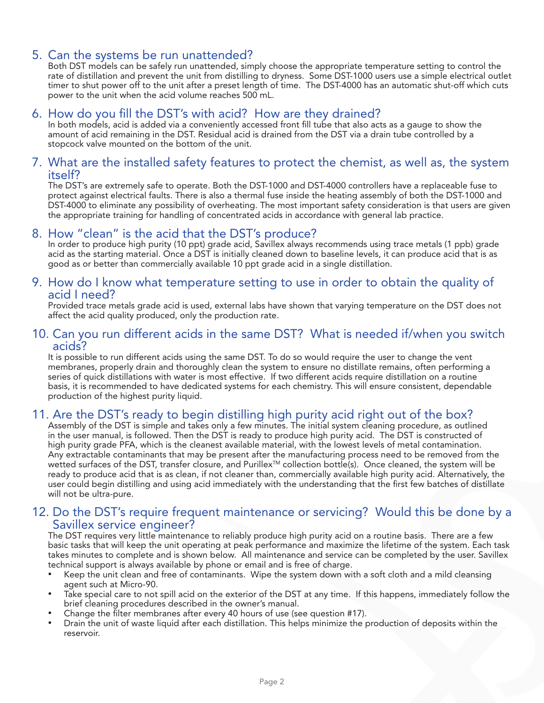## 5. Can the systems be run unattended?

Both DST models can be safely run unattended, simply choose the appropriate temperature setting to control the rate of distillation and prevent the unit from distilling to dryness. Some DST-1000 users use a simple electrical outlet timer to shut power off to the unit after a preset length of time. The DST-4000 has an automatic shut-off which cuts power to the unit when the acid volume reaches 500 mL.

## 6. How do you fill the DST's with acid? How are they drained?

In both models, acid is added via a conveniently accessed front fill tube that also acts as a gauge to show the amount of acid remaining in the DST. Residual acid is drained from the DST via a drain tube controlled by a stopcock valve mounted on the bottom of the unit.

## 7. What are the installed safety features to protect the chemist, as well as, the system itself?

The DST's are extremely safe to operate. Both the DST-1000 and DST-4000 controllers have a replaceable fuse to protect against electrical faults. There is also a thermal fuse inside the heating assembly of both the DST-1000 and DST-4000 to eliminate any possibility of overheating. The most important safety consideration is that users are given the appropriate training for handling of concentrated acids in accordance with general lab practice.

## 8. How "clean" is the acid that the DST's produce?

In order to produce high purity (10 ppt) grade acid, Savillex always recommends using trace metals (1 ppb) grade acid as the starting material. Once a DST is initially cleaned down to baseline levels, it can produce acid that is as good as or better than commercially available 10 ppt grade acid in a single distillation.

# 9. How do I know what temperature setting to use in order to obtain the quality of acid I need?

Provided trace metals grade acid is used, external labs have shown that varying temperature on the DST does not affect the acid quality produced, only the production rate.

## 10. Can you run different acids in the same DST? What is needed if/when you switch acids?

It is possible to run different acids using the same DST. To do so would require the user to change the vent membranes, properly drain and thoroughly clean the system to ensure no distillate remains, often performing a series of quick distillations with water is most effective. If two different acids require distillation on a routine basis, it is recommended to have dedicated systems for each chemistry. This will ensure consistent, dependable production of the highest purity liquid.

## 11. Are the DST's ready to begin distilling high purity acid right out of the box?

Assembly of the DST is simple and takes only a few minutes. The initial system cleaning procedure, as outlined in the user manual, is followed. Then the DST is ready to produce high purity acid. The DST is constructed of high purity grade PFA, which is the cleanest available material, with the lowest levels of metal contamination. Any extractable contaminants that may be present after the manufacturing process need to be removed from the wetted surfaces of the DST, transfer closure, and Purillex™ collection bottle(s). Once cleaned, the system will be ready to produce acid that is as clean, if not cleaner than, commercially available high purity acid. Alternatively, the user could begin distilling and using acid immediately with the understanding that the first few batches of distillate will not be ultra-pure.

## 12. Do the DST's require frequent maintenance or servicing? Would this be done by a Savillex service engineer?

The DST requires very little maintenance to reliably produce high purity acid on a routine basis. There are a few basic tasks that will keep the unit operating at peak performance and maximize the lifetime of the system. Each task takes minutes to complete and is shown below. All maintenance and service can be completed by the user. Savillex technical support is always available by phone or email and is free of charge.

- Keep the unit clean and free of contaminants. Wipe the system down with a soft cloth and a mild cleansing agent such at Micro-90.
- Take special care to not spill acid on the exterior of the DST at any time. If this happens, immediately follow the brief cleaning procedures described in the owner's manual.
- Change the filter membranes after every 40 hours of use (see question #17).
- Drain the unit of waste liquid after each distillation. This helps minimize the production of deposits within the reservoir.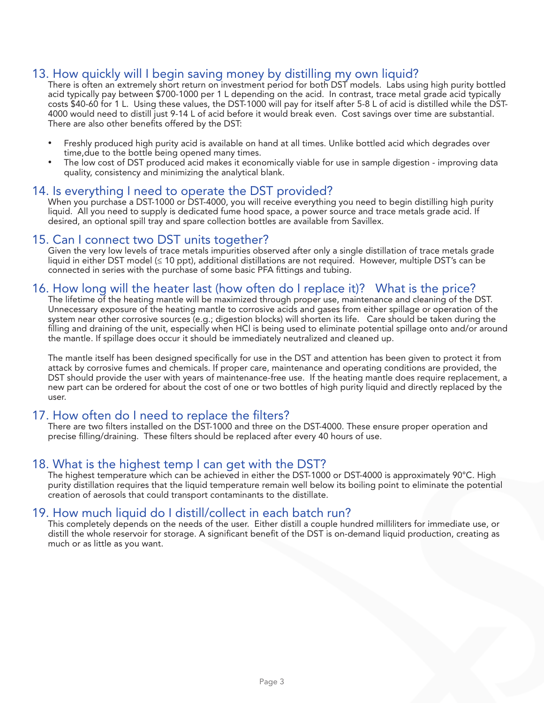## 13. How quickly will I begin saving money by distilling my own liquid?

There is often an extremely short return on investment period for both DST models. Labs using high purity bottled acid typically pay between \$700-1000 per 1 L depending on the acid. In contrast, trace metal grade acid typically costs \$40-60 for 1 L. Using these values, the DST-1000 will pay for itself after 5-8 L of acid is distilled while the DST-4000 would need to distill just 9-14 L of acid before it would break even. Cost savings over time are substantial. There are also other benefits offered by the DST:

- Freshly produced high purity acid is available on hand at all times. Unlike bottled acid which degrades over time,due to the bottle being opened many times.
- The low cost of DST produced acid makes it economically viable for use in sample digestion improving data quality, consistency and minimizing the analytical blank.

#### 14. Is everything I need to operate the DST provided?

When you purchase a DST-1000 or DST-4000, you will receive everything you need to begin distilling high purity liquid. All you need to supply is dedicated fume hood space, a power source and trace metals grade acid. If desired, an optional spill tray and spare collection bottles are available from Savillex.

## 15. Can I connect two DST units together?

Given the very low levels of trace metals impurities observed after only a single distillation of trace metals grade liquid in either DST model (≤ 10 ppt), additional distillations are not required. However, multiple DST's can be connected in series with the purchase of some basic PFA fittings and tubing.

## 16. How long will the heater last (how often do I replace it)? What is the price?

The lifetime of the heating mantle will be maximized through proper use, maintenance and cleaning of the DST. Unnecessary exposure of the heating mantle to corrosive acids and gases from either spillage or operation of the system near other corrosive sources (e.g.; digestion blocks) will shorten its life. Care should be taken during the filling and draining of the unit, especially when HCl is being used to eliminate potential spillage onto and/or around the mantle. If spillage does occur it should be immediately neutralized and cleaned up.

The mantle itself has been designed specifically for use in the DST and attention has been given to protect it from attack by corrosive fumes and chemicals. If proper care, maintenance and operating conditions are provided, the DST should provide the user with years of maintenance-free use. If the heating mantle does require replacement, a new part can be ordered for about the cost of one or two bottles of high purity liquid and directly replaced by the user.

## 17. How often do I need to replace the filters?

There are two filters installed on the DST-1000 and three on the DST-4000. These ensure proper operation and precise filling/draining. These filters should be replaced after every 40 hours of use.

## 18. What is the highest temp I can get with the DST?

The highest temperature which can be achieved in either the DST-1000 or DST-4000 is approximately 90°C. High purity distillation requires that the liquid temperature remain well below its boiling point to eliminate the potential creation of aerosols that could transport contaminants to the distillate.

## 19. How much liquid do I distill/collect in each batch run?

This completely depends on the needs of the user. Either distill a couple hundred milliliters for immediate use, or distill the whole reservoir for storage. A significant benefit of the DST is on-demand liquid production, creating as much or as little as you want.